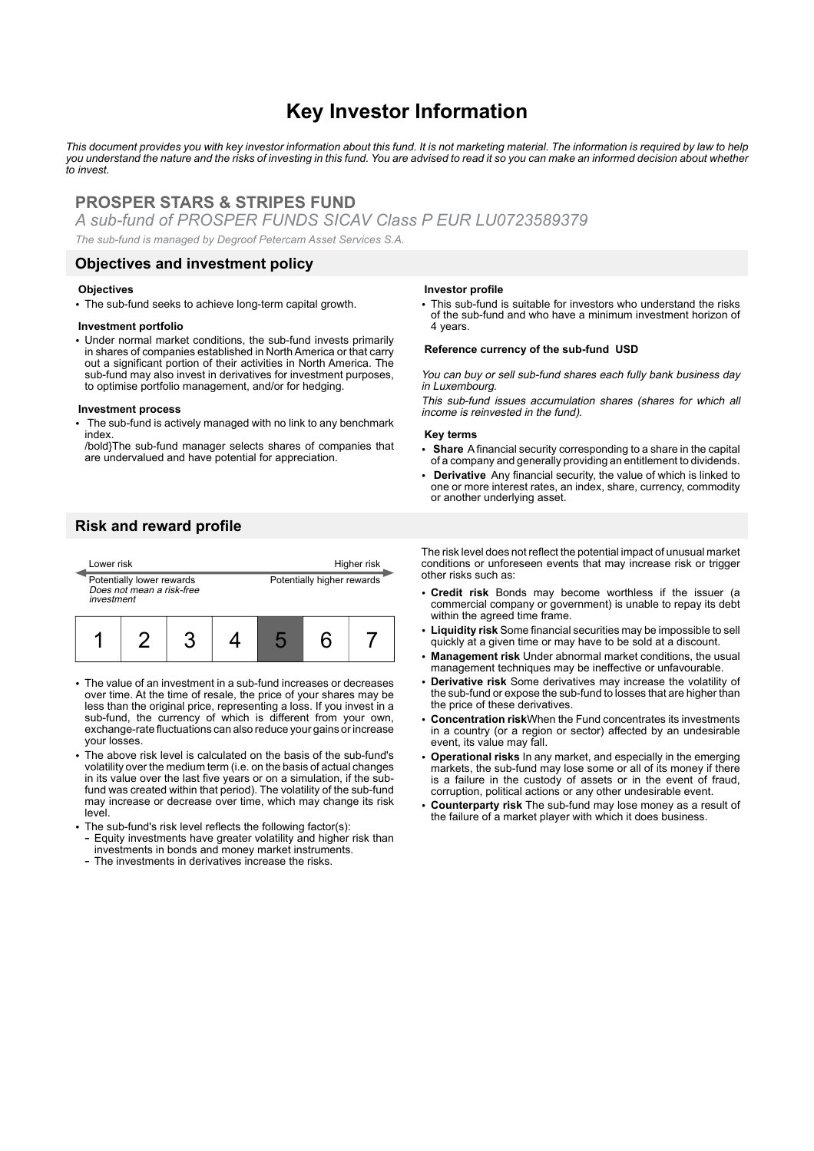# **Key Investor Information**

*This document provides you with key investor information about this fund. It is not marketing material. The information is required by law to help you understand the nature and the risks of investing in this fund. You are advised to read it so you can make an informed decision about whether to invest.*

# **PROSPER STARS & STRIPES FUND**

*A sub-fund of PROSPER FUNDS SICAV Class P EUR LU0723589379*

*The sub-fund is managed by Degroof Petercam Asset Services S.A.*

### **Objectives and investment policy**

#### **Objectives**

• The sub-fund seeks to achieve long-term capital growth.

### **Investment portfolio**

• Under normal market conditions, the sub-fund invests primarily in shares of companies established in North America or that carry out a significant portion of their activities in North America. The sub-fund may also invest in derivatives for investment purposes, to optimise portfolio management, and/or for hedging.

#### **Investment process**

The sub-fund is actively managed with no link to any benchmark index.

/bold}The sub-fund manager selects shares of companies that are undervalued and have potential for appreciation.

## **Risk and reward profile**



- The value of an investment in a sub-fund increases or decreases over time. At the time of resale, the price of your shares may be less than the original price, representing a loss. If you invest in a sub-fund, the currency of which is different from your own, exchange-rate fluctuations can also reduce your gains or increase your losses.
- The above risk level is calculated on the basis of the sub-fund's volatility over the medium term (i.e. on the basis of actual changes in its value over the last five years or on a simulation, if the subfund was created within that period). The volatility of the sub-fund may increase or decrease over time, which may change its risk level.
- The sub-fund's risk level reflects the following factor(s): - Equity investments have greater volatility and higher risk than investments in bonds and money market instruments.
	- The investments in derivatives increase the risks.

#### **Investor profile**

• This sub-fund is suitable for investors who understand the risks of the sub-fund and who have a minimum investment horizon of 4 years.

#### **Reference currency of the sub-fund USD**

You can buy or sell sub-fund shares each fully bank business day in Luxembourg.

This sub-fund issues accumulation shares (shares for which all income is reinvested in the fund).

#### **Key terms**

- 2 **Share** A financial security corresponding to a share in the capital of a company and generally providing an entitlement to dividends.
- 2 **Derivative** Any financial security, the value of which is linked to one or more interest rates, an index, share, currency, commodity or another underlying asset.

The risk level does not reflect the potential impact of unusual market conditions or unforeseen events that may increase risk or trigger other risks such as:

- 2 **Credit risk** Bonds may become worthless if the issuer (a commercial company or government) is unable to repay its debt within the agreed time frame.
- 2 **Liquidity risk** Some financial securities may be impossible to sell quickly at a given time or may have to be sold at a discount.
- 2 **Management risk** Under abnormal market conditions, the usual management techniques may be ineffective or unfavourable.
- 2 **Derivative risk** Some derivatives may increase the volatility of the sub-fund or expose the sub-fund to losses that are higher than the price of these derivatives.
- 2 **Concentration risk**When the Fund concentrates its investments in a country (or a region or sector) affected by an undesirable event, its value may fall.
- 2 **Operational risks** In any market, and especially in the emerging markets, the sub-fund may lose some or all of its money if there is a failure in the custody of assets or in the event of fraud, corruption, political actions or any other undesirable event.
- 2 **Counterparty risk** The sub-fund may lose money as a result of the failure of a market player with which it does business.